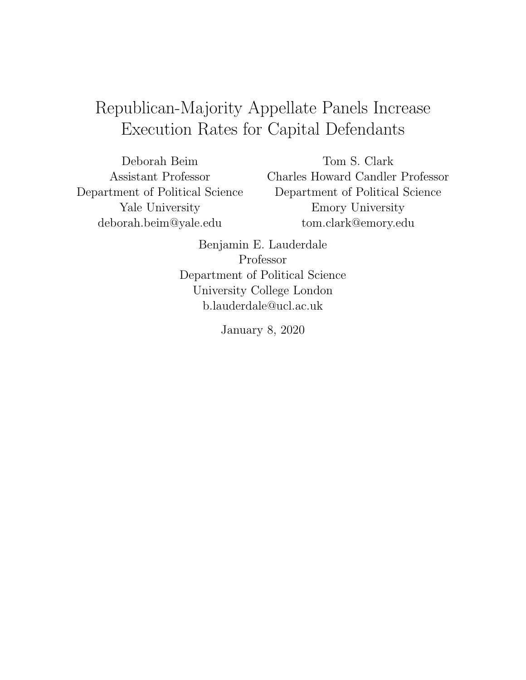# Republican-Majority Appellate Panels Increase Execution Rates for Capital Defendants

Deborah Beim Assistant Professor Department of Political Science Yale University deborah.beim@yale.edu

Tom S. Clark Charles Howard Candler Professor Department of Political Science Emory University tom.clark@emory.edu

Benjamin E. Lauderdale Professor Department of Political Science University College London b.lauderdale@ucl.ac.uk

January 8, 2020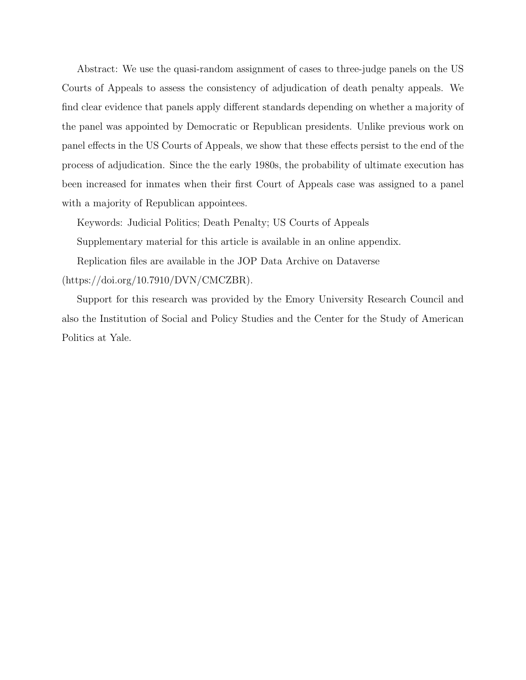Abstract: We use the quasi-random assignment of cases to three-judge panels on the US Courts of Appeals to assess the consistency of adjudication of death penalty appeals. We find clear evidence that panels apply different standards depending on whether a majority of the panel was appointed by Democratic or Republican presidents. Unlike previous work on panel effects in the US Courts of Appeals, we show that these effects persist to the end of the process of adjudication. Since the the early 1980s, the probability of ultimate execution has been increased for inmates when their first Court of Appeals case was assigned to a panel with a majority of Republican appointees.

Keywords: Judicial Politics; Death Penalty; US Courts of Appeals

Supplementary material for this article is available in an online appendix.

Replication files are available in the JOP Data Archive on Dataverse

(https://doi.org/10.7910/DVN/CMCZBR).

Support for this research was provided by the Emory University Research Council and also the Institution of Social and Policy Studies and the Center for the Study of American Politics at Yale.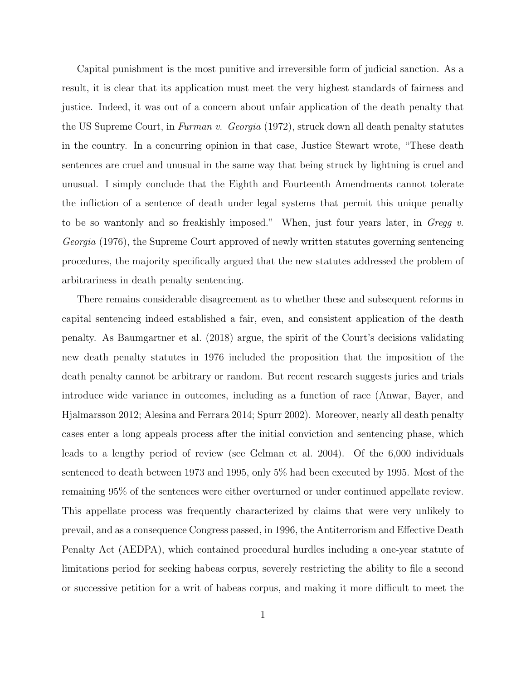Capital punishment is the most punitive and irreversible form of judicial sanction. As a result, it is clear that its application must meet the very highest standards of fairness and justice. Indeed, it was out of a concern about unfair application of the death penalty that the US Supreme Court, in Furman v. Georgia (1972), struck down all death penalty statutes in the country. In a concurring opinion in that case, Justice Stewart wrote, "These death sentences are cruel and unusual in the same way that being struck by lightning is cruel and unusual. I simply conclude that the Eighth and Fourteenth Amendments cannot tolerate the infliction of a sentence of death under legal systems that permit this unique penalty to be so wantonly and so freakishly imposed." When, just four years later, in Gregg v. Georgia (1976), the Supreme Court approved of newly written statutes governing sentencing procedures, the majority specifically argued that the new statutes addressed the problem of arbitrariness in death penalty sentencing.

There remains considerable disagreement as to whether these and subsequent reforms in capital sentencing indeed established a fair, even, and consistent application of the death penalty. As Baumgartner et al. (2018) argue, the spirit of the Court's decisions validating new death penalty statutes in 1976 included the proposition that the imposition of the death penalty cannot be arbitrary or random. But recent research suggests juries and trials introduce wide variance in outcomes, including as a function of race (Anwar, Bayer, and Hjalmarsson 2012; Alesina and Ferrara 2014; Spurr 2002). Moreover, nearly all death penalty cases enter a long appeals process after the initial conviction and sentencing phase, which leads to a lengthy period of review (see Gelman et al. 2004). Of the 6,000 individuals sentenced to death between 1973 and 1995, only 5% had been executed by 1995. Most of the remaining 95% of the sentences were either overturned or under continued appellate review. This appellate process was frequently characterized by claims that were very unlikely to prevail, and as a consequence Congress passed, in 1996, the Antiterrorism and Effective Death Penalty Act (AEDPA), which contained procedural hurdles including a one-year statute of limitations period for seeking habeas corpus, severely restricting the ability to file a second or successive petition for a writ of habeas corpus, and making it more difficult to meet the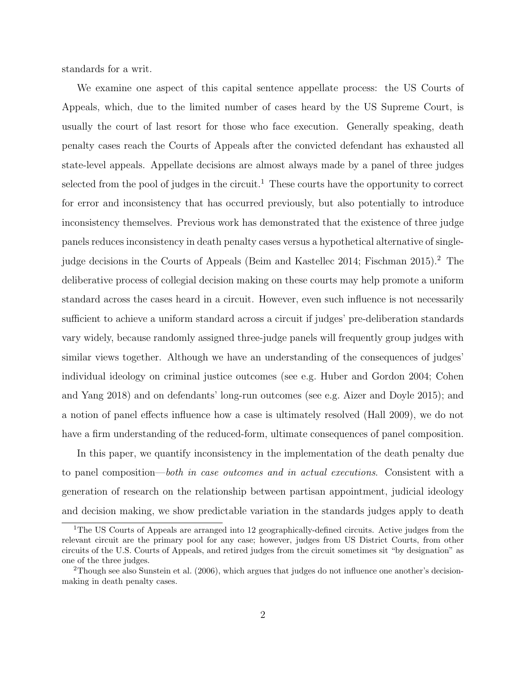standards for a writ.

We examine one aspect of this capital sentence appellate process: the US Courts of Appeals, which, due to the limited number of cases heard by the US Supreme Court, is usually the court of last resort for those who face execution. Generally speaking, death penalty cases reach the Courts of Appeals after the convicted defendant has exhausted all state-level appeals. Appellate decisions are almost always made by a panel of three judges selected from the pool of judges in the circuit.<sup>1</sup> These courts have the opportunity to correct for error and inconsistency that has occurred previously, but also potentially to introduce inconsistency themselves. Previous work has demonstrated that the existence of three judge panels reduces inconsistency in death penalty cases versus a hypothetical alternative of singlejudge decisions in the Courts of Appeals (Beim and Kastellec 2014; Fischman 2015).<sup>2</sup> The deliberative process of collegial decision making on these courts may help promote a uniform standard across the cases heard in a circuit. However, even such influence is not necessarily sufficient to achieve a uniform standard across a circuit if judges' pre-deliberation standards vary widely, because randomly assigned three-judge panels will frequently group judges with similar views together. Although we have an understanding of the consequences of judges' individual ideology on criminal justice outcomes (see e.g. Huber and Gordon 2004; Cohen and Yang 2018) and on defendants' long-run outcomes (see e.g. Aizer and Doyle 2015); and a notion of panel effects influence how a case is ultimately resolved (Hall 2009), we do not have a firm understanding of the reduced-form, ultimate consequences of panel composition.

In this paper, we quantify inconsistency in the implementation of the death penalty due to panel composition—both in case outcomes and in actual executions. Consistent with a generation of research on the relationship between partisan appointment, judicial ideology and decision making, we show predictable variation in the standards judges apply to death

<sup>&</sup>lt;sup>1</sup>The US Courts of Appeals are arranged into 12 geographically-defined circuits. Active judges from the relevant circuit are the primary pool for any case; however, judges from US District Courts, from other circuits of the U.S. Courts of Appeals, and retired judges from the circuit sometimes sit "by designation" as one of the three judges.

<sup>2</sup>Though see also Sunstein et al. (2006), which argues that judges do not influence one another's decisionmaking in death penalty cases.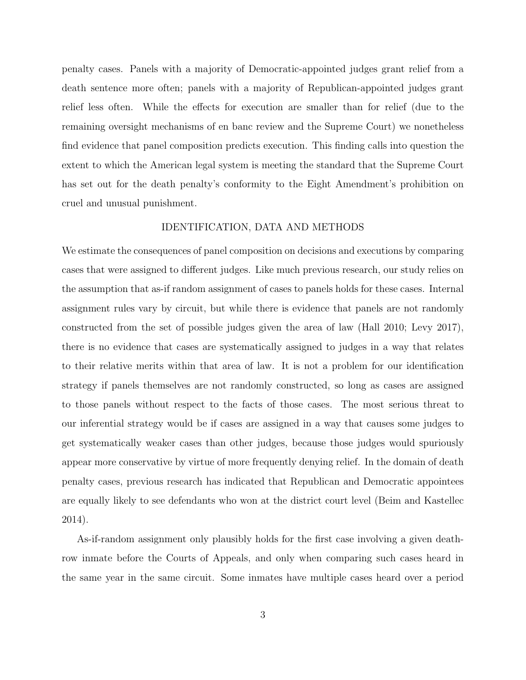penalty cases. Panels with a majority of Democratic-appointed judges grant relief from a death sentence more often; panels with a majority of Republican-appointed judges grant relief less often. While the effects for execution are smaller than for relief (due to the remaining oversight mechanisms of en banc review and the Supreme Court) we nonetheless find evidence that panel composition predicts execution. This finding calls into question the extent to which the American legal system is meeting the standard that the Supreme Court has set out for the death penalty's conformity to the Eight Amendment's prohibition on cruel and unusual punishment.

# IDENTIFICATION, DATA AND METHODS

We estimate the consequences of panel composition on decisions and executions by comparing cases that were assigned to different judges. Like much previous research, our study relies on the assumption that as-if random assignment of cases to panels holds for these cases. Internal assignment rules vary by circuit, but while there is evidence that panels are not randomly constructed from the set of possible judges given the area of law (Hall 2010; Levy 2017), there is no evidence that cases are systematically assigned to judges in a way that relates to their relative merits within that area of law. It is not a problem for our identification strategy if panels themselves are not randomly constructed, so long as cases are assigned to those panels without respect to the facts of those cases. The most serious threat to our inferential strategy would be if cases are assigned in a way that causes some judges to get systematically weaker cases than other judges, because those judges would spuriously appear more conservative by virtue of more frequently denying relief. In the domain of death penalty cases, previous research has indicated that Republican and Democratic appointees are equally likely to see defendants who won at the district court level (Beim and Kastellec 2014).

As-if-random assignment only plausibly holds for the first case involving a given deathrow inmate before the Courts of Appeals, and only when comparing such cases heard in the same year in the same circuit. Some inmates have multiple cases heard over a period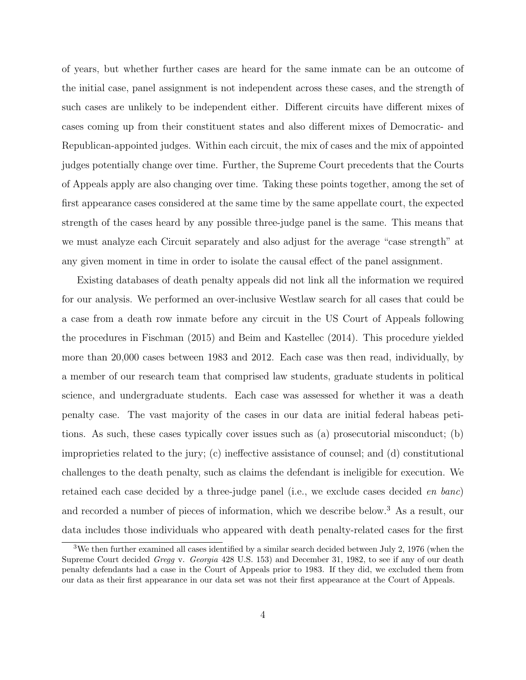of years, but whether further cases are heard for the same inmate can be an outcome of the initial case, panel assignment is not independent across these cases, and the strength of such cases are unlikely to be independent either. Different circuits have different mixes of cases coming up from their constituent states and also different mixes of Democratic- and Republican-appointed judges. Within each circuit, the mix of cases and the mix of appointed judges potentially change over time. Further, the Supreme Court precedents that the Courts of Appeals apply are also changing over time. Taking these points together, among the set of first appearance cases considered at the same time by the same appellate court, the expected strength of the cases heard by any possible three-judge panel is the same. This means that we must analyze each Circuit separately and also adjust for the average "case strength" at any given moment in time in order to isolate the causal effect of the panel assignment.

Existing databases of death penalty appeals did not link all the information we required for our analysis. We performed an over-inclusive Westlaw search for all cases that could be a case from a death row inmate before any circuit in the US Court of Appeals following the procedures in Fischman (2015) and Beim and Kastellec (2014). This procedure yielded more than 20,000 cases between 1983 and 2012. Each case was then read, individually, by a member of our research team that comprised law students, graduate students in political science, and undergraduate students. Each case was assessed for whether it was a death penalty case. The vast majority of the cases in our data are initial federal habeas petitions. As such, these cases typically cover issues such as (a) prosecutorial misconduct; (b) improprieties related to the jury; (c) ineffective assistance of counsel; and (d) constitutional challenges to the death penalty, such as claims the defendant is ineligible for execution. We retained each case decided by a three-judge panel (i.e., we exclude cases decided en banc) and recorded a number of pieces of information, which we describe below.<sup>3</sup> As a result, our data includes those individuals who appeared with death penalty-related cases for the first

 $3$ We then further examined all cases identified by a similar search decided between July 2, 1976 (when the Supreme Court decided Gregg v. Georgia 428 U.S. 153) and December 31, 1982, to see if any of our death penalty defendants had a case in the Court of Appeals prior to 1983. If they did, we excluded them from our data as their first appearance in our data set was not their first appearance at the Court of Appeals.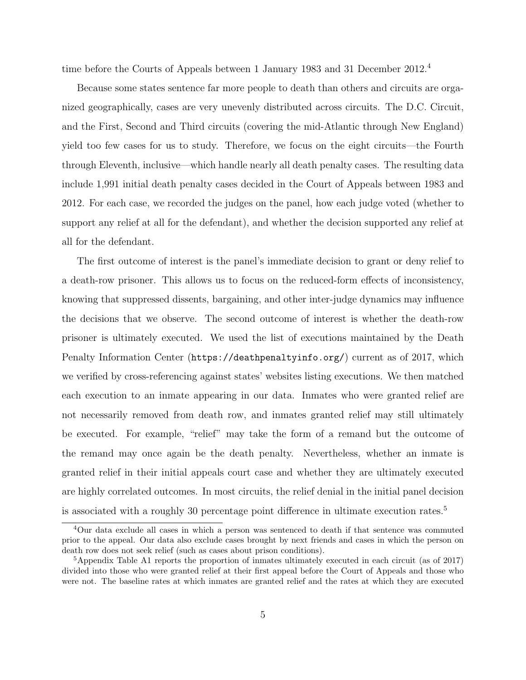time before the Courts of Appeals between 1 January 1983 and 31 December 2012.<sup>4</sup>

Because some states sentence far more people to death than others and circuits are organized geographically, cases are very unevenly distributed across circuits. The D.C. Circuit, and the First, Second and Third circuits (covering the mid-Atlantic through New England) yield too few cases for us to study. Therefore, we focus on the eight circuits—the Fourth through Eleventh, inclusive—which handle nearly all death penalty cases. The resulting data include 1,991 initial death penalty cases decided in the Court of Appeals between 1983 and 2012. For each case, we recorded the judges on the panel, how each judge voted (whether to support any relief at all for the defendant), and whether the decision supported any relief at all for the defendant.

The first outcome of interest is the panel's immediate decision to grant or deny relief to a death-row prisoner. This allows us to focus on the reduced-form effects of inconsistency, knowing that suppressed dissents, bargaining, and other inter-judge dynamics may influence the decisions that we observe. The second outcome of interest is whether the death-row prisoner is ultimately executed. We used the list of executions maintained by the Death Penalty Information Center (https://deathpenaltyinfo.org/) current as of 2017, which we verified by cross-referencing against states' websites listing executions. We then matched each execution to an inmate appearing in our data. Inmates who were granted relief are not necessarily removed from death row, and inmates granted relief may still ultimately be executed. For example, "relief" may take the form of a remand but the outcome of the remand may once again be the death penalty. Nevertheless, whether an inmate is granted relief in their initial appeals court case and whether they are ultimately executed are highly correlated outcomes. In most circuits, the relief denial in the initial panel decision is associated with a roughly 30 percentage point difference in ultimate execution rates.<sup>5</sup>

<sup>4</sup>Our data exclude all cases in which a person was sentenced to death if that sentence was commuted prior to the appeal. Our data also exclude cases brought by next friends and cases in which the person on death row does not seek relief (such as cases about prison conditions).

<sup>5</sup>Appendix Table A1 reports the proportion of inmates ultimately executed in each circuit (as of 2017) divided into those who were granted relief at their first appeal before the Court of Appeals and those who were not. The baseline rates at which inmates are granted relief and the rates at which they are executed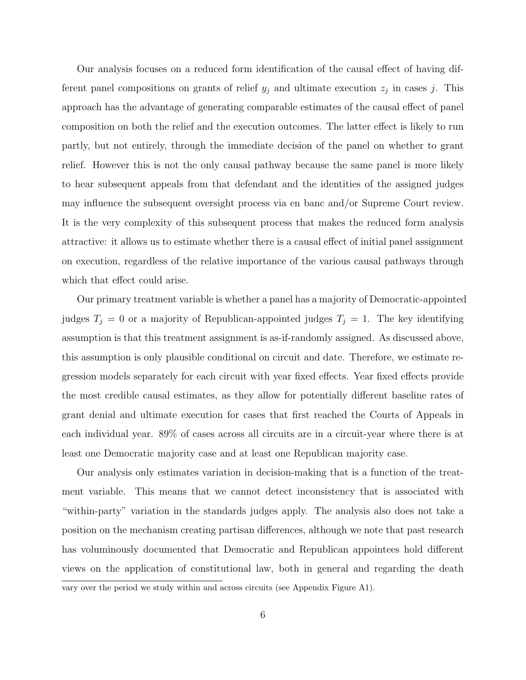Our analysis focuses on a reduced form identification of the causal effect of having different panel compositions on grants of relief  $y_j$  and ultimate execution  $z_j$  in cases j. This approach has the advantage of generating comparable estimates of the causal effect of panel composition on both the relief and the execution outcomes. The latter effect is likely to run partly, but not entirely, through the immediate decision of the panel on whether to grant relief. However this is not the only causal pathway because the same panel is more likely to hear subsequent appeals from that defendant and the identities of the assigned judges may influence the subsequent oversight process via en banc and/or Supreme Court review. It is the very complexity of this subsequent process that makes the reduced form analysis attractive: it allows us to estimate whether there is a causal effect of initial panel assignment on execution, regardless of the relative importance of the various causal pathways through which that effect could arise.

Our primary treatment variable is whether a panel has a majority of Democratic-appointed judges  $T_j = 0$  or a majority of Republican-appointed judges  $T_j = 1$ . The key identifying assumption is that this treatment assignment is as-if-randomly assigned. As discussed above, this assumption is only plausible conditional on circuit and date. Therefore, we estimate regression models separately for each circuit with year fixed effects. Year fixed effects provide the most credible causal estimates, as they allow for potentially different baseline rates of grant denial and ultimate execution for cases that first reached the Courts of Appeals in each individual year. 89% of cases across all circuits are in a circuit-year where there is at least one Democratic majority case and at least one Republican majority case.

Our analysis only estimates variation in decision-making that is a function of the treatment variable. This means that we cannot detect inconsistency that is associated with "within-party" variation in the standards judges apply. The analysis also does not take a position on the mechanism creating partisan differences, although we note that past research has voluminously documented that Democratic and Republican appointees hold different views on the application of constitutional law, both in general and regarding the death vary over the period we study within and across circuits (see Appendix Figure A1).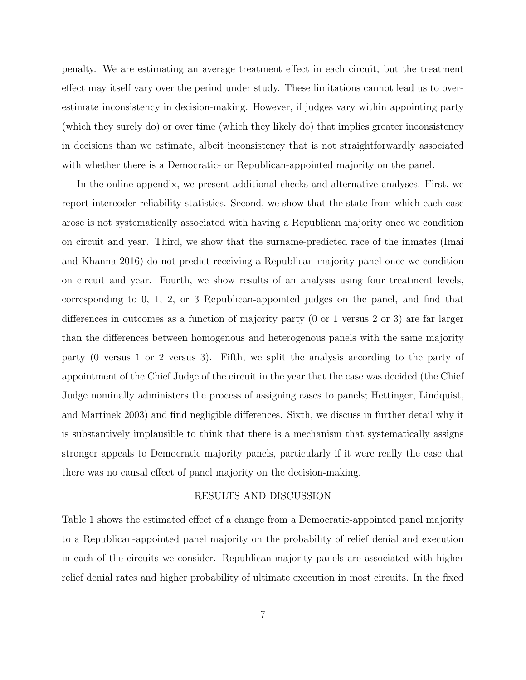penalty. We are estimating an average treatment effect in each circuit, but the treatment effect may itself vary over the period under study. These limitations cannot lead us to overestimate inconsistency in decision-making. However, if judges vary within appointing party (which they surely do) or over time (which they likely do) that implies greater inconsistency in decisions than we estimate, albeit inconsistency that is not straightforwardly associated with whether there is a Democratic- or Republican-appointed majority on the panel.

In the online appendix, we present additional checks and alternative analyses. First, we report intercoder reliability statistics. Second, we show that the state from which each case arose is not systematically associated with having a Republican majority once we condition on circuit and year. Third, we show that the surname-predicted race of the inmates (Imai and Khanna 2016) do not predict receiving a Republican majority panel once we condition on circuit and year. Fourth, we show results of an analysis using four treatment levels, corresponding to 0, 1, 2, or 3 Republican-appointed judges on the panel, and find that differences in outcomes as a function of majority party (0 or 1 versus 2 or 3) are far larger than the differences between homogenous and heterogenous panels with the same majority party (0 versus 1 or 2 versus 3). Fifth, we split the analysis according to the party of appointment of the Chief Judge of the circuit in the year that the case was decided (the Chief Judge nominally administers the process of assigning cases to panels; Hettinger, Lindquist, and Martinek 2003) and find negligible differences. Sixth, we discuss in further detail why it is substantively implausible to think that there is a mechanism that systematically assigns stronger appeals to Democratic majority panels, particularly if it were really the case that there was no causal effect of panel majority on the decision-making.

# RESULTS AND DISCUSSION

Table 1 shows the estimated effect of a change from a Democratic-appointed panel majority to a Republican-appointed panel majority on the probability of relief denial and execution in each of the circuits we consider. Republican-majority panels are associated with higher relief denial rates and higher probability of ultimate execution in most circuits. In the fixed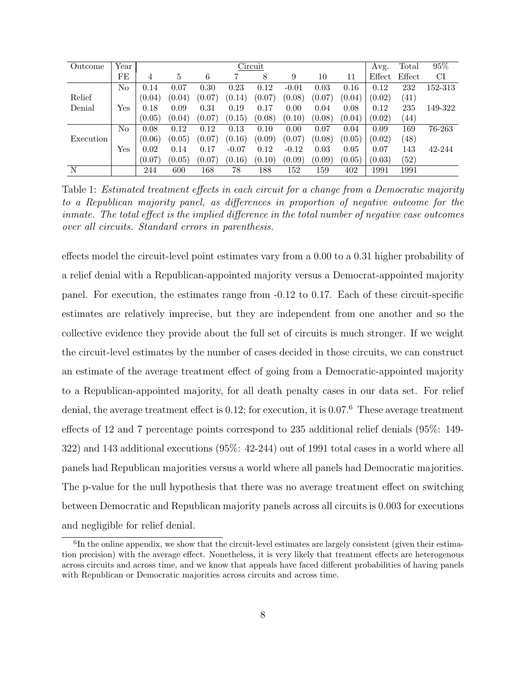| Outcome   | Year           | Circuit |        |        |         |        | Avg.    | Total  | 95%    |        |                    |         |
|-----------|----------------|---------|--------|--------|---------|--------|---------|--------|--------|--------|--------------------|---------|
|           | FE             | 4       | 5      | 6      |         | 8      | 9       | 10     | 11     | Effect | Effect             | CI      |
|           | N <sub>o</sub> | 0.14    | 0.07   | 0.30   | 0.23    | 0.12   | $-0.01$ | 0.03   | 0.16   | 0.12   | 232                | 152-313 |
| Relief    |                | (0.04)  | (0.04) | (0.07) | (0.14)  | (0.07) | (0.08)  | (0.07) | (0.04) | (0.02) | (41)               |         |
| Denial    | Yes            | 0.18    | 0.09   | 0.31   | 0.19    | 0.17   | 0.00    | 0.04   | 0.08   | 0.12   | 235                | 149-322 |
|           |                | (0.05)  | (0.04) | (0.07) | (0.15)  | (0.08) | (0.10)  | (0.08) | (0.04) | (0.02) | (44)               |         |
|           | No             | 0.08    | 0.12   | 0.12   | 0.13    | 0.10   | 0.00    | 0.07   | 0.04   | 0.09   | 169                | 76-263  |
| Execution |                | (0.06)  | (0.05) | (0.07) | (0.16)  | (0.09) | (0.07)  | (0.08) | (0.05) | (0.02) | (48)               |         |
|           | Yes            | 0.02    | 0.14   | 0.17   | $-0.07$ | 0.12   | $-0.12$ | 0.03   | 0.05   | 0.07   | 143                | 42-244  |
|           |                | (0.07)  | (0.05) | (0.07) | (0.16)  | (0.10) | (0.09)  | (0.09) | (0.05) | (0.03) | $\left( 52\right)$ |         |
| N         |                | 244     | 600    | 168    | 78      | 188    | 152     | 159    | 402    | 1991   | 1991               |         |

Table 1: *Estimated treatment effects in each circuit for a change from a Democratic majority* to a Republican majority panel, as differences in proportion of negative outcome for the inmate. The total effect is the implied difference in the total number of negative case outcomes over all circuits. Standard errors in parenthesis.

effects model the circuit-level point estimates vary from a 0.00 to a 0.31 higher probability of a relief denial with a Republican-appointed majority versus a Democrat-appointed majority panel. For execution, the estimates range from -0.12 to 0.17. Each of these circuit-specific estimates are relatively imprecise, but they are independent from one another and so the collective evidence they provide about the full set of circuits is much stronger. If we weight the circuit-level estimates by the number of cases decided in those circuits, we can construct an estimate of the average treatment effect of going from a Democratic-appointed majority to a Republican-appointed majority, for all death penalty cases in our data set. For relief denial, the average treatment effect is 0.12; for execution, it is 0.07.<sup>6</sup> These average treatment effects of 12 and 7 percentage points correspond to 235 additional relief denials (95%: 149- 322) and 143 additional executions (95%: 42-244) out of 1991 total cases in a world where all panels had Republican majorities versus a world where all panels had Democratic majorities. The p-value for the null hypothesis that there was no average treatment effect on switching between Democratic and Republican majority panels across all circuits is 0.003 for executions and negligible for relief denial.

<sup>&</sup>lt;sup>6</sup>In the online appendix, we show that the circuit-level estimates are largely consistent (given their estimation precision) with the average effect. Nonetheless, it is very likely that treatment effects are heterogenous across circuits and across time, and we know that appeals have faced different probabilities of having panels with Republican or Democratic majorities across circuits and across time.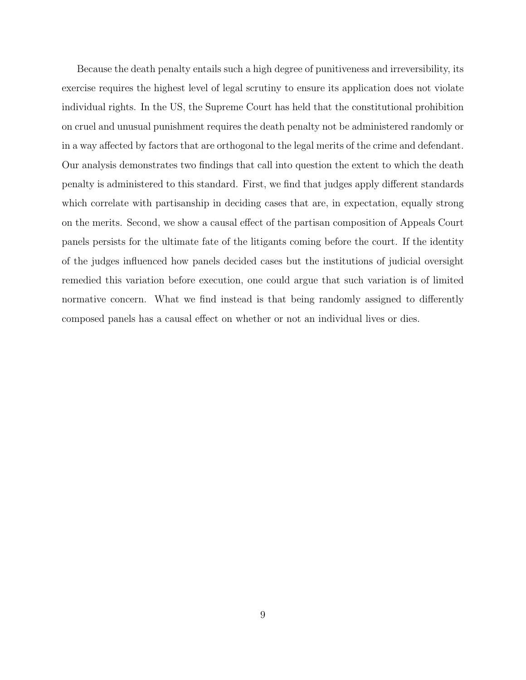Because the death penalty entails such a high degree of punitiveness and irreversibility, its exercise requires the highest level of legal scrutiny to ensure its application does not violate individual rights. In the US, the Supreme Court has held that the constitutional prohibition on cruel and unusual punishment requires the death penalty not be administered randomly or in a way affected by factors that are orthogonal to the legal merits of the crime and defendant. Our analysis demonstrates two findings that call into question the extent to which the death penalty is administered to this standard. First, we find that judges apply different standards which correlate with partisanship in deciding cases that are, in expectation, equally strong on the merits. Second, we show a causal effect of the partisan composition of Appeals Court panels persists for the ultimate fate of the litigants coming before the court. If the identity of the judges influenced how panels decided cases but the institutions of judicial oversight remedied this variation before execution, one could argue that such variation is of limited normative concern. What we find instead is that being randomly assigned to differently composed panels has a causal effect on whether or not an individual lives or dies.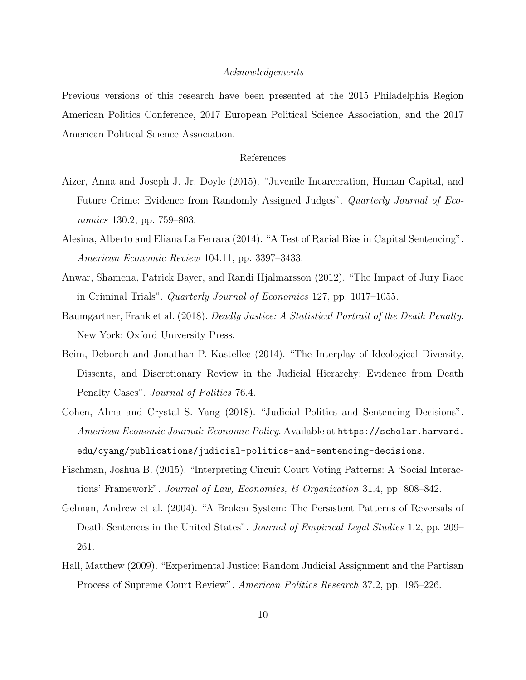### Acknowledgements

Previous versions of this research have been presented at the 2015 Philadelphia Region American Politics Conference, 2017 European Political Science Association, and the 2017 American Political Science Association.

### References

- Aizer, Anna and Joseph J. Jr. Doyle (2015). "Juvenile Incarceration, Human Capital, and Future Crime: Evidence from Randomly Assigned Judges". *Quarterly Journal of Eco*nomics 130.2, pp. 759–803.
- Alesina, Alberto and Eliana La Ferrara (2014). "A Test of Racial Bias in Capital Sentencing". American Economic Review 104.11, pp. 3397–3433.
- Anwar, Shamena, Patrick Bayer, and Randi Hjalmarsson (2012). "The Impact of Jury Race in Criminal Trials". Quarterly Journal of Economics 127, pp. 1017–1055.
- Baumgartner, Frank et al. (2018). Deadly Justice: A Statistical Portrait of the Death Penalty. New York: Oxford University Press.
- Beim, Deborah and Jonathan P. Kastellec (2014). "The Interplay of Ideological Diversity, Dissents, and Discretionary Review in the Judicial Hierarchy: Evidence from Death Penalty Cases". Journal of Politics 76.4.
- Cohen, Alma and Crystal S. Yang (2018). "Judicial Politics and Sentencing Decisions". American Economic Journal: Economic Policy. Available at https://scholar.harvard. edu/cyang/publications/judicial-politics-and-sentencing-decisions.
- Fischman, Joshua B. (2015). "Interpreting Circuit Court Voting Patterns: A 'Social Interactions' Framework". Journal of Law, Economics, & Organization 31.4, pp. 808–842.
- Gelman, Andrew et al. (2004). "A Broken System: The Persistent Patterns of Reversals of Death Sentences in the United States". Journal of Empirical Legal Studies 1.2, pp. 209– 261.
- Hall, Matthew (2009). "Experimental Justice: Random Judicial Assignment and the Partisan Process of Supreme Court Review". American Politics Research 37.2, pp. 195–226.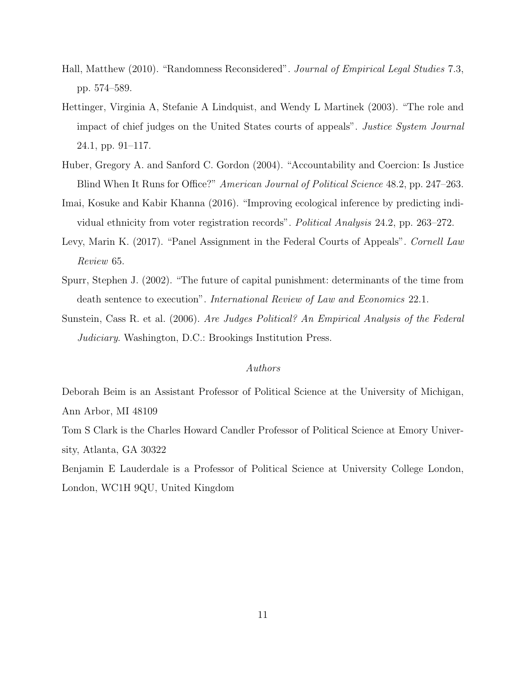- Hall, Matthew (2010). "Randomness Reconsidered". Journal of Empirical Legal Studies 7.3, pp. 574–589.
- Hettinger, Virginia A, Stefanie A Lindquist, and Wendy L Martinek (2003). "The role and impact of chief judges on the United States courts of appeals". Justice System Journal 24.1, pp. 91–117.
- Huber, Gregory A. and Sanford C. Gordon (2004). "Accountability and Coercion: Is Justice Blind When It Runs for Office?" American Journal of Political Science 48.2, pp. 247–263.
- Imai, Kosuke and Kabir Khanna (2016). "Improving ecological inference by predicting individual ethnicity from voter registration records". Political Analysis 24.2, pp. 263–272.
- Levy, Marin K. (2017). "Panel Assignment in the Federal Courts of Appeals". Cornell Law Review 65.
- Spurr, Stephen J. (2002). "The future of capital punishment: determinants of the time from death sentence to execution". International Review of Law and Economics 22.1.
- Sunstein, Cass R. et al. (2006). Are Judges Political? An Empirical Analysis of the Federal Judiciary. Washington, D.C.: Brookings Institution Press.

# Authors

Deborah Beim is an Assistant Professor of Political Science at the University of Michigan, Ann Arbor, MI 48109

Tom S Clark is the Charles Howard Candler Professor of Political Science at Emory University, Atlanta, GA 30322

Benjamin E Lauderdale is a Professor of Political Science at University College London, London, WC1H 9QU, United Kingdom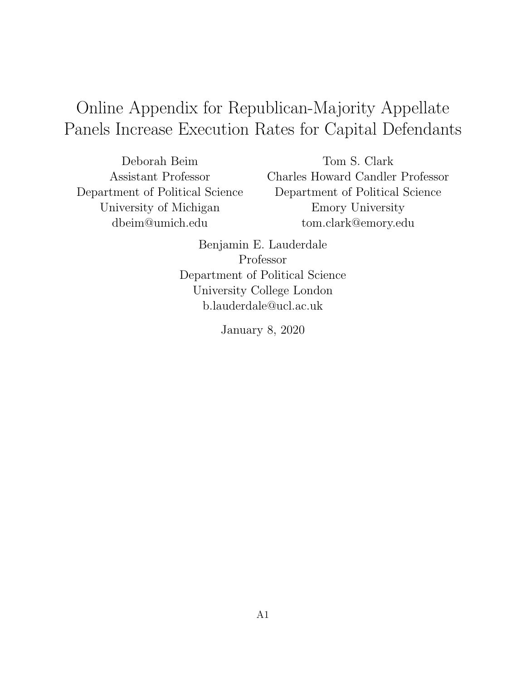# Online Appendix for Republican-Majority Appellate Panels Increase Execution Rates for Capital Defendants

Deborah Beim Assistant Professor Department of Political Science University of Michigan dbeim@umich.edu

Tom S. Clark Charles Howard Candler Professor Department of Political Science Emory University tom.clark@emory.edu

Benjamin E. Lauderdale Professor Department of Political Science University College London b.lauderdale@ucl.ac.uk

January 8, 2020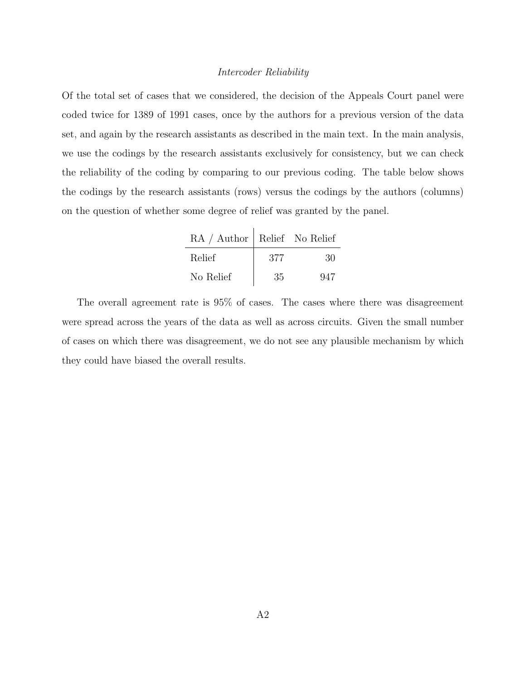## Intercoder Reliability

Of the total set of cases that we considered, the decision of the Appeals Court panel were coded twice for 1389 of 1991 cases, once by the authors for a previous version of the data set, and again by the research assistants as described in the main text. In the main analysis, we use the codings by the research assistants exclusively for consistency, but we can check the reliability of the coding by comparing to our previous coding. The table below shows the codings by the research assistants (rows) versus the codings by the authors (columns) on the question of whether some degree of relief was granted by the panel.

| RA / Author   Relief No Relief |     |     |
|--------------------------------|-----|-----|
| Relief                         | 377 | 30  |
| No Relief                      | 35  | 947 |

The overall agreement rate is 95% of cases. The cases where there was disagreement were spread across the years of the data as well as across circuits. Given the small number of cases on which there was disagreement, we do not see any plausible mechanism by which they could have biased the overall results.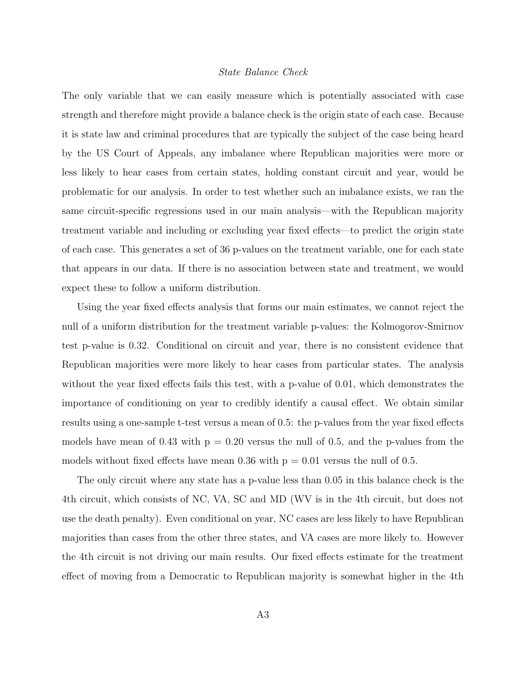#### State Balance Check

The only variable that we can easily measure which is potentially associated with case strength and therefore might provide a balance check is the origin state of each case. Because it is state law and criminal procedures that are typically the subject of the case being heard by the US Court of Appeals, any imbalance where Republican majorities were more or less likely to hear cases from certain states, holding constant circuit and year, would be problematic for our analysis. In order to test whether such an imbalance exists, we ran the same circuit-specific regressions used in our main analysis—with the Republican majority treatment variable and including or excluding year fixed effects—to predict the origin state of each case. This generates a set of 36 p-values on the treatment variable, one for each state that appears in our data. If there is no association between state and treatment, we would expect these to follow a uniform distribution.

Using the year fixed effects analysis that forms our main estimates, we cannot reject the null of a uniform distribution for the treatment variable p-values: the Kolmogorov-Smirnov test p-value is 0.32. Conditional on circuit and year, there is no consistent evidence that Republican majorities were more likely to hear cases from particular states. The analysis without the year fixed effects fails this test, with a p-value of 0.01, which demonstrates the importance of conditioning on year to credibly identify a causal effect. We obtain similar results using a one-sample t-test versus a mean of 0.5: the p-values from the year fixed effects models have mean of 0.43 with  $p = 0.20$  versus the null of 0.5, and the p-values from the models without fixed effects have mean 0.36 with  $p = 0.01$  versus the null of 0.5.

The only circuit where any state has a p-value less than 0.05 in this balance check is the 4th circuit, which consists of NC, VA, SC and MD (WV is in the 4th circuit, but does not use the death penalty). Even conditional on year, NC cases are less likely to have Republican majorities than cases from the other three states, and VA cases are more likely to. However the 4th circuit is not driving our main results. Our fixed effects estimate for the treatment effect of moving from a Democratic to Republican majority is somewhat higher in the 4th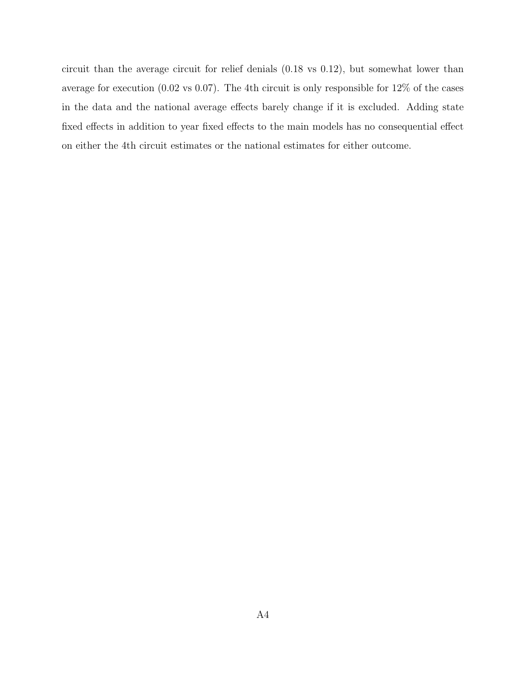circuit than the average circuit for relief denials (0.18 vs 0.12), but somewhat lower than average for execution (0.02 vs 0.07). The 4th circuit is only responsible for 12% of the cases in the data and the national average effects barely change if it is excluded. Adding state fixed effects in addition to year fixed effects to the main models has no consequential effect on either the 4th circuit estimates or the national estimates for either outcome.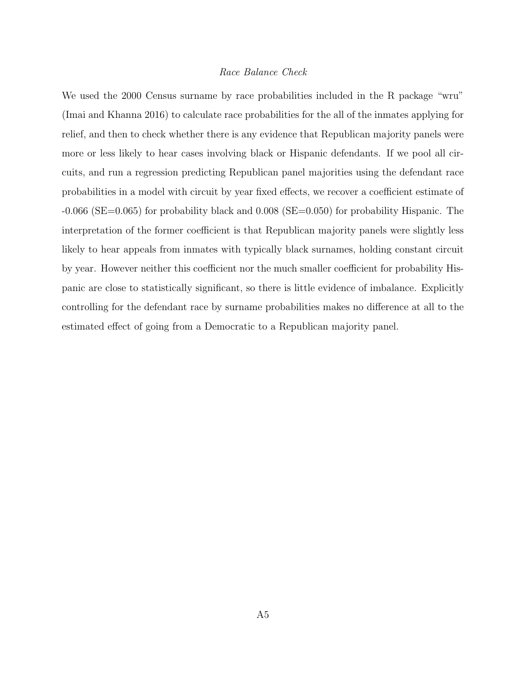## Race Balance Check

We used the 2000 Census surname by race probabilities included in the R package "wru" (Imai and Khanna 2016) to calculate race probabilities for the all of the inmates applying for relief, and then to check whether there is any evidence that Republican majority panels were more or less likely to hear cases involving black or Hispanic defendants. If we pool all circuits, and run a regression predicting Republican panel majorities using the defendant race probabilities in a model with circuit by year fixed effects, we recover a coefficient estimate of -0.066 (SE=0.065) for probability black and 0.008 (SE=0.050) for probability Hispanic. The interpretation of the former coefficient is that Republican majority panels were slightly less likely to hear appeals from inmates with typically black surnames, holding constant circuit by year. However neither this coefficient nor the much smaller coefficient for probability Hispanic are close to statistically significant, so there is little evidence of imbalance. Explicitly controlling for the defendant race by surname probabilities makes no difference at all to the estimated effect of going from a Democratic to a Republican majority panel.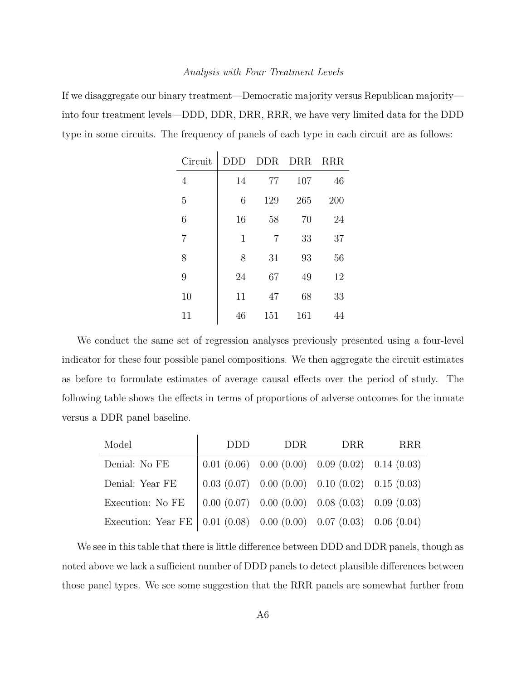### Analysis with Four Treatment Levels

If we disaggregate our binary treatment—Democratic majority versus Republican majority into four treatment levels—DDD, DDR, DRR, RRR, we have very limited data for the DDD type in some circuits. The frequency of panels of each type in each circuit are as follows:

| Circuit        | <b>DDD</b>   | DDR            | DRR | <b>RRR</b> |
|----------------|--------------|----------------|-----|------------|
| $\overline{4}$ | 14           | 77             | 107 | 46         |
| 5              | 6            | 129            | 265 | 200        |
| 6              | 16           | 58             | 70  | 24         |
| $\overline{7}$ | $\mathbf{1}$ | $\overline{7}$ | 33  | 37         |
| 8              | 8            | 31             | 93  | 56         |
| 9              | 24           | 67             | 49  | 12         |
| 10             | 11           | 47             | 68  | 33         |
| 11             | 46           | 151            | 161 | 44         |

We conduct the same set of regression analyses previously presented using a four-level indicator for these four possible panel compositions. We then aggregate the circuit estimates as before to formulate estimates of average causal effects over the period of study. The following table shows the effects in terms of proportions of adverse outcomes for the inmate versus a DDR panel baseline.

| Model                                                                       | DDD.                                                                                                  | DDR | DRR | <b>RRR</b> |
|-----------------------------------------------------------------------------|-------------------------------------------------------------------------------------------------------|-----|-----|------------|
| Denial: No FE                                                               | $(0.01)(0.06)$ $(0.00)(0.00)$ $(0.09)(0.02)$ $(0.14)(0.03)$                                           |     |     |            |
| Denial: Year FE                                                             | $(0.03)(0.07)$ 0.00 $(0.00)$ 0.10 $(0.02)$ 0.15 $(0.03)$                                              |     |     |            |
| Execution: No FE                                                            | $\begin{array}{ l} 0.00\ (0.07) \quad 0.00\ (0.00) \quad 0.08\ (0.03) \quad 0.09\ (0.03) \end{array}$ |     |     |            |
| Execution: Year FE $(0.01)(0.08)$ 0.00 $(0.00)$ 0.07 $(0.03)$ 0.06 $(0.04)$ |                                                                                                       |     |     |            |

We see in this table that there is little difference between DDD and DDR panels, though as noted above we lack a sufficient number of DDD panels to detect plausible differences between those panel types. We see some suggestion that the RRR panels are somewhat further from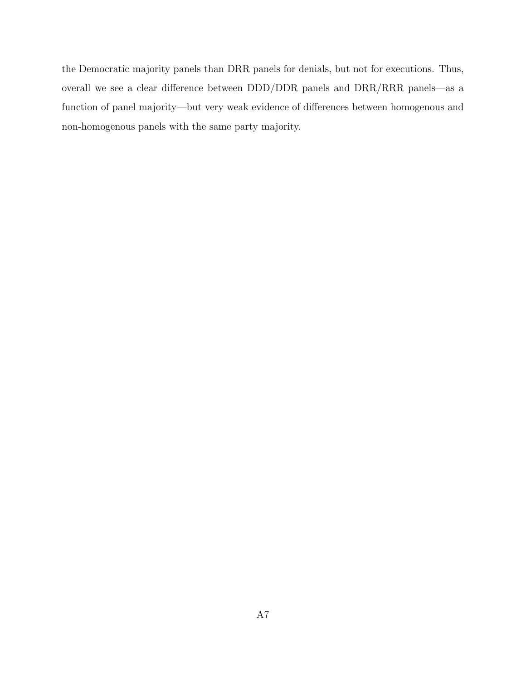the Democratic majority panels than DRR panels for denials, but not for executions. Thus, overall we see a clear difference between DDD/DDR panels and DRR/RRR panels—as a function of panel majority—but very weak evidence of differences between homogenous and non-homogenous panels with the same party majority.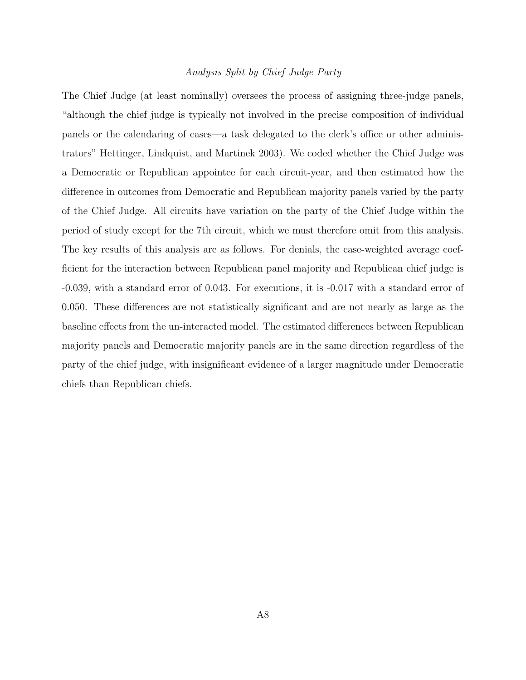## Analysis Split by Chief Judge Party

The Chief Judge (at least nominally) oversees the process of assigning three-judge panels, "although the chief judge is typically not involved in the precise composition of individual panels or the calendaring of cases—a task delegated to the clerk's office or other administrators" Hettinger, Lindquist, and Martinek 2003). We coded whether the Chief Judge was a Democratic or Republican appointee for each circuit-year, and then estimated how the difference in outcomes from Democratic and Republican majority panels varied by the party of the Chief Judge. All circuits have variation on the party of the Chief Judge within the period of study except for the 7th circuit, which we must therefore omit from this analysis. The key results of this analysis are as follows. For denials, the case-weighted average coefficient for the interaction between Republican panel majority and Republican chief judge is -0.039, with a standard error of 0.043. For executions, it is -0.017 with a standard error of 0.050. These differences are not statistically significant and are not nearly as large as the baseline effects from the un-interacted model. The estimated differences between Republican majority panels and Democratic majority panels are in the same direction regardless of the party of the chief judge, with insignificant evidence of a larger magnitude under Democratic chiefs than Republican chiefs.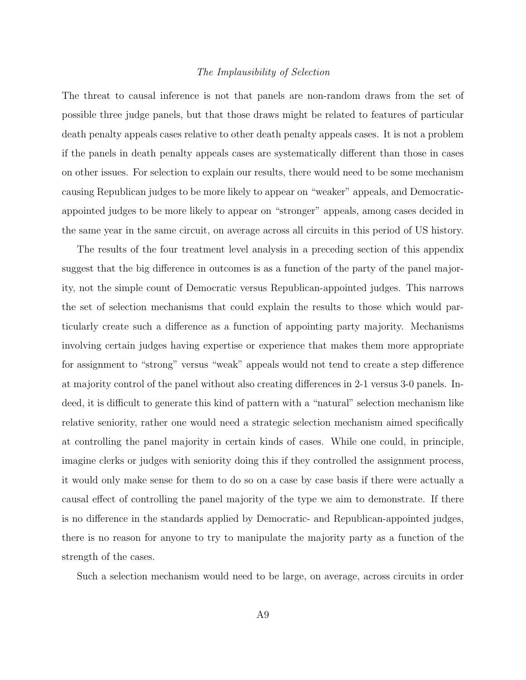### The Implausibility of Selection

The threat to causal inference is not that panels are non-random draws from the set of possible three judge panels, but that those draws might be related to features of particular death penalty appeals cases relative to other death penalty appeals cases. It is not a problem if the panels in death penalty appeals cases are systematically different than those in cases on other issues. For selection to explain our results, there would need to be some mechanism causing Republican judges to be more likely to appear on "weaker" appeals, and Democraticappointed judges to be more likely to appear on "stronger" appeals, among cases decided in the same year in the same circuit, on average across all circuits in this period of US history.

The results of the four treatment level analysis in a preceding section of this appendix suggest that the big difference in outcomes is as a function of the party of the panel majority, not the simple count of Democratic versus Republican-appointed judges. This narrows the set of selection mechanisms that could explain the results to those which would particularly create such a difference as a function of appointing party majority. Mechanisms involving certain judges having expertise or experience that makes them more appropriate for assignment to "strong" versus "weak" appeals would not tend to create a step difference at majority control of the panel without also creating differences in 2-1 versus 3-0 panels. Indeed, it is difficult to generate this kind of pattern with a "natural" selection mechanism like relative seniority, rather one would need a strategic selection mechanism aimed specifically at controlling the panel majority in certain kinds of cases. While one could, in principle, imagine clerks or judges with seniority doing this if they controlled the assignment process, it would only make sense for them to do so on a case by case basis if there were actually a causal effect of controlling the panel majority of the type we aim to demonstrate. If there is no difference in the standards applied by Democratic- and Republican-appointed judges, there is no reason for anyone to try to manipulate the majority party as a function of the strength of the cases.

Such a selection mechanism would need to be large, on average, across circuits in order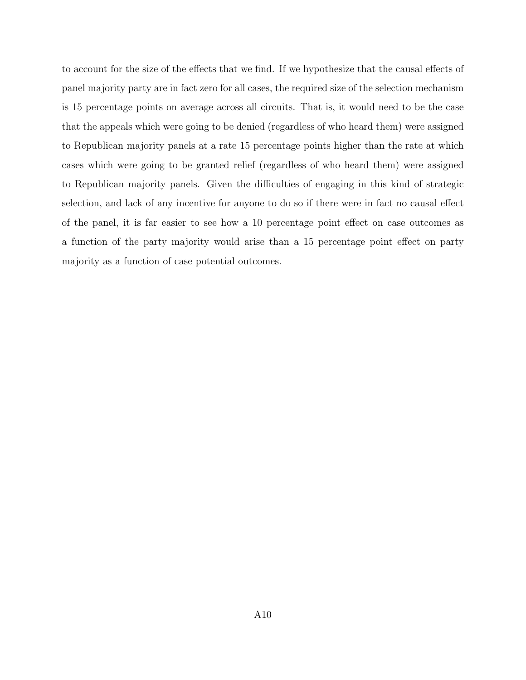to account for the size of the effects that we find. If we hypothesize that the causal effects of panel majority party are in fact zero for all cases, the required size of the selection mechanism is 15 percentage points on average across all circuits. That is, it would need to be the case that the appeals which were going to be denied (regardless of who heard them) were assigned to Republican majority panels at a rate 15 percentage points higher than the rate at which cases which were going to be granted relief (regardless of who heard them) were assigned to Republican majority panels. Given the difficulties of engaging in this kind of strategic selection, and lack of any incentive for anyone to do so if there were in fact no causal effect of the panel, it is far easier to see how a 10 percentage point effect on case outcomes as a function of the party majority would arise than a 15 percentage point effect on party majority as a function of case potential outcomes.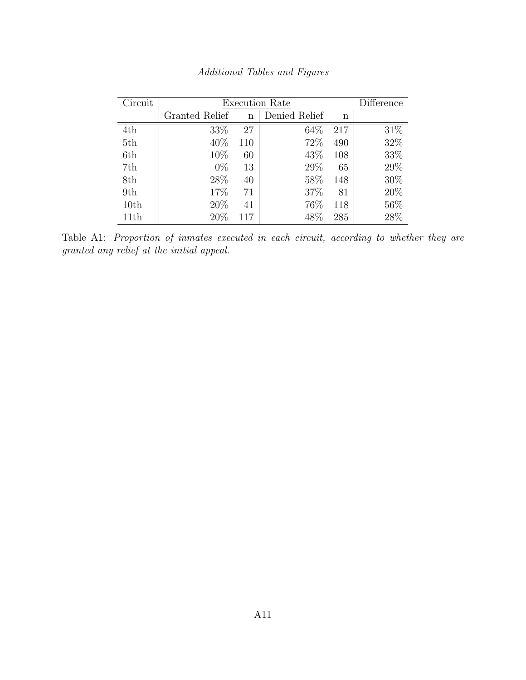| Circuit | Execution Rate | Difference  |               |     |      |
|---------|----------------|-------------|---------------|-----|------|
|         | Granted Relief | $\mathbf n$ | Denied Relief | n   |      |
| 4th     | 33\%           | 27          | 64\%          | 217 | 31\% |
| 5th     | 40\%           | 110         | 72%           | 490 | 32%  |
| 6th     | 10%            | 60          | 43\%          | 108 | 33%  |
| 7th     | $0\%$          | 13          | 29%           | 65  | 29%  |
| 8th     | 28%            | 40          | 58%           | 148 | 30%  |
| 9th     | 17%            | 71          | 37%           | 81  | 20%  |
| 10th    | 20%            | 41          | 76%           | 118 | 56%  |
| 11th    | 20%            | 117         | 48%           | 285 | 28%  |

Additional Tables and Figures

Table A1: Proportion of inmates executed in each circuit, according to whether they are granted any relief at the initial appeal.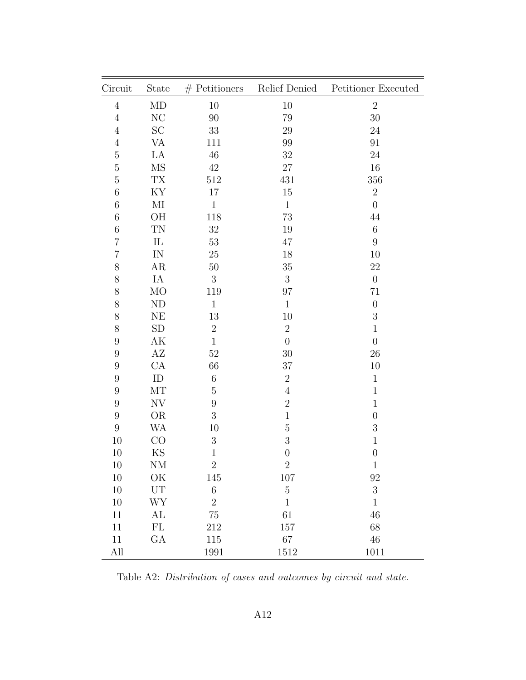| Circuit          | <b>State</b>             | $#$ Petitioners  | Relief Denied    | Petitioner Executed |
|------------------|--------------------------|------------------|------------------|---------------------|
| $\,4\,$          | $\mbox{MD}$              | 10               | $10\,$           | $\overline{2}$      |
| $\overline{4}$   | NC                       | 90               | 79               | 30                  |
| $\sqrt{4}$       | SC                       | 33               | 29               | 24                  |
| $\overline{4}$   | VA                       | 111              | 99               | 91                  |
| $\bf 5$          | LA                       | 46               | 32               | 24                  |
| $\overline{5}$   | $\rm{MS}$                | 42               | $27\,$           | 16                  |
| $\overline{5}$   | <b>TX</b>                | 512              | 431              | 356                 |
| $\boldsymbol{6}$ | KY                       | $17\,$           | $15\,$           | $\sqrt{2}$          |
| 6                | $\rm MI$                 | $\,1\,$          | $1\,$            | $\overline{0}$      |
| $\boldsymbol{6}$ | OH                       | 118              | 73               | 44                  |
| 6                | TN                       | $32\,$           | 19               | $\sqrt{6}$          |
| $\overline{7}$   | ${\rm IL}$               | $53\,$           | 47               | 9                   |
| $\overline{7}$   | $\ensuremath{\text{IN}}$ | 25               | 18               | 10                  |
| $8\,$            | AR                       | 50               | 35               | 22                  |
| 8                | IA                       | $\boldsymbol{3}$ | $\boldsymbol{3}$ | $\overline{0}$      |
| 8                | M <sub>O</sub>           | 119              | 97               | 71                  |
| 8                | N <sub>D</sub>           | $\mathbf{1}$     | $\mathbf{1}$     | $\boldsymbol{0}$    |
| 8                | NE                       | 13               | 10               | 3                   |
| 8                | SD                       | $\overline{2}$   | $\sqrt{2}$       | $\mathbf{1}$        |
| $\boldsymbol{9}$ | $\mathbf{A}\mathbf{K}$   | $\mathbf{1}$     | $\overline{0}$   | $\overline{0}$      |
| 9                | $\mathbf{A}\mathbf{Z}$   | 52               | 30               | 26                  |
| $\overline{9}$   | ${\rm CA}$               | 66               | 37               | 10                  |
| $\boldsymbol{9}$ | ID                       | $\!6\,$          | $\sqrt{2}$       | $\mathbf{1}$        |
| $\overline{9}$   | MT                       | $\bf 5$          | $\,4\,$          | $\mathbf{1}$        |
| 9                | ${\rm NV}$               | $\boldsymbol{9}$ | $\sqrt{2}$       | $\mathbf{1}$        |
| $\overline{9}$   | $\rm OR$                 | 3                | $\mathbf{1}$     | $\overline{0}$      |
| $\overline{9}$   | WA                       | 10               | $\bf 5$          | $\boldsymbol{3}$    |
| 10               | CO                       | $\sqrt{3}$       | $\overline{3}$   | $\mathbf{1}$        |
| 10               | KS                       | $\mathbf{1}$     | $\overline{0}$   | $\boldsymbol{0}$    |
| 10               | NΜ                       | $\overline{2}$   | $\overline{2}$   | $\mathbf{1}$        |
| 10               | OK                       | 145              | 107              | $92\,$              |
| $10\,$           | UT                       | $6\,$            | $\mathbf 5$      | $\overline{3}$      |
| 10               | WY                       | $\overline{2}$   | $\mathbf{1}$     | $\mathbf{1}$        |
| 11               | AL                       | $75\,$           | 61               | 46                  |
| 11               | FL                       | 212              | 157              | 68                  |
| $11\,$           | GA                       | $115\,$          | 67               | $46\,$              |
| All              |                          | 1991             | $1512\,$         | 1011                |

Table A2: Distribution of cases and outcomes by circuit and state.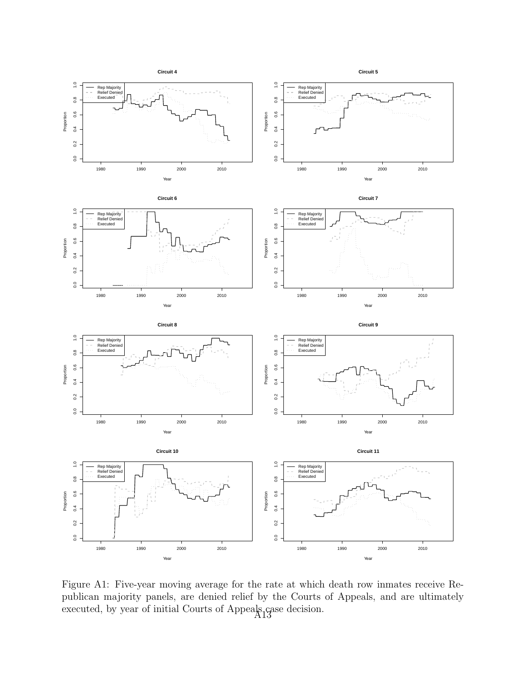

Figure A1: Five-year moving average for the rate at which death row inmates receive Republican majority panels, are denied relief by the Courts of Appeals, and are ultimately executed, by year of initial Courts of Appeals case decision.